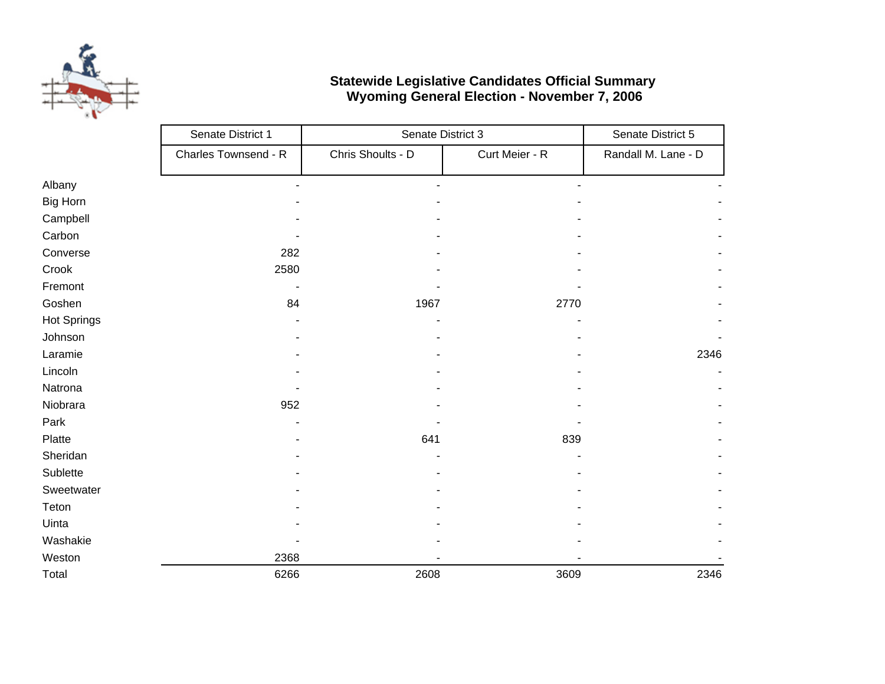

|             | Senate District 1    | Senate District 3 |                | Senate District 5   |
|-------------|----------------------|-------------------|----------------|---------------------|
|             | Charles Townsend - R | Chris Shoults - D | Curt Meier - R | Randall M. Lane - D |
| Albany      |                      |                   |                |                     |
| Big Horn    |                      |                   |                |                     |
| Campbell    |                      |                   |                |                     |
| Carbon      |                      |                   |                |                     |
| Converse    | 282                  |                   |                |                     |
| Crook       | 2580                 |                   |                |                     |
| Fremont     |                      |                   |                |                     |
| Goshen      | 84                   | 1967              | 2770           |                     |
| Hot Springs |                      |                   |                |                     |
| Johnson     |                      |                   |                |                     |
| Laramie     |                      |                   |                | 2346                |
| Lincoln     |                      |                   |                |                     |
| Natrona     |                      |                   |                |                     |
| Niobrara    | 952                  |                   |                |                     |
| Park        |                      |                   |                |                     |
| Platte      |                      | 641               | 839            |                     |
| Sheridan    |                      |                   |                |                     |
| Sublette    |                      |                   |                |                     |
| Sweetwater  |                      |                   |                |                     |
| Teton       |                      |                   |                |                     |
| Uinta       |                      |                   |                |                     |
| Washakie    |                      |                   |                |                     |
| Weston      | 2368                 |                   |                |                     |
| Total       | 6266                 | 2608              | 3609           | 2346                |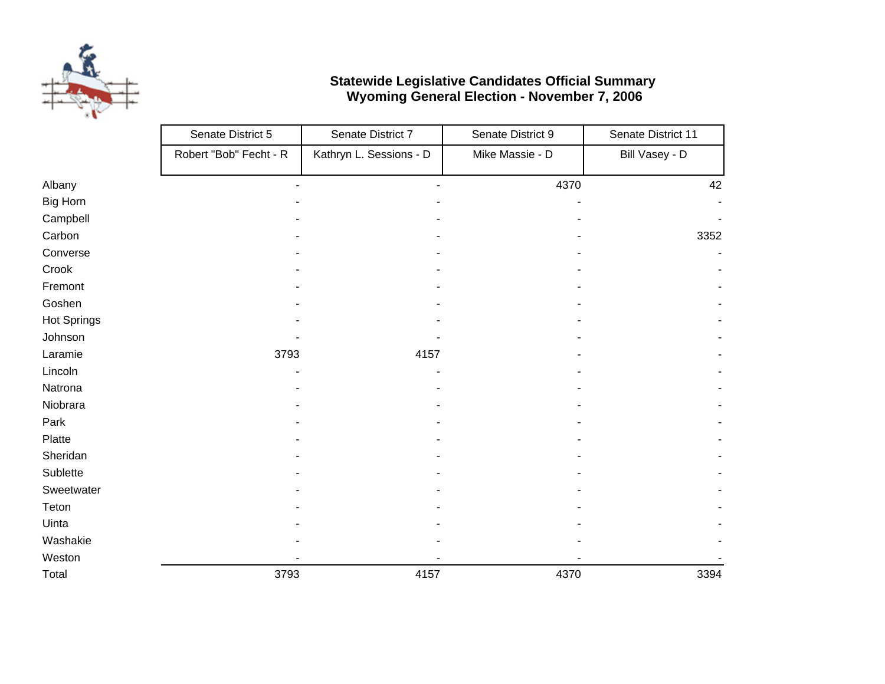

|             | Senate District 5      | Senate District 7       | Senate District 9 | Senate District 11 |
|-------------|------------------------|-------------------------|-------------------|--------------------|
|             | Robert "Bob" Fecht - R | Kathryn L. Sessions - D | Mike Massie - D   | Bill Vasey - D     |
| Albany      |                        |                         | 4370              | 42                 |
| Big Horn    |                        |                         |                   |                    |
| Campbell    |                        |                         |                   |                    |
| Carbon      |                        |                         |                   | 3352               |
| Converse    |                        |                         |                   |                    |
| Crook       |                        |                         |                   |                    |
| Fremont     |                        |                         |                   |                    |
| Goshen      |                        |                         |                   |                    |
| Hot Springs |                        |                         |                   |                    |
| Johnson     |                        |                         |                   |                    |
| Laramie     | 3793                   | 4157                    |                   |                    |
| Lincoln     |                        |                         |                   |                    |
| Natrona     |                        |                         |                   |                    |
| Niobrara    |                        |                         |                   |                    |
| Park        |                        |                         |                   |                    |
| Platte      |                        |                         |                   |                    |
| Sheridan    |                        |                         |                   |                    |
| Sublette    |                        |                         |                   |                    |
| Sweetwater  |                        |                         |                   |                    |
| Teton       |                        |                         |                   |                    |
| Uinta       |                        |                         |                   |                    |
| Washakie    |                        |                         |                   |                    |
| Weston      |                        |                         |                   |                    |
| Total       | 3793                   | 4157                    | 4370              | 3394               |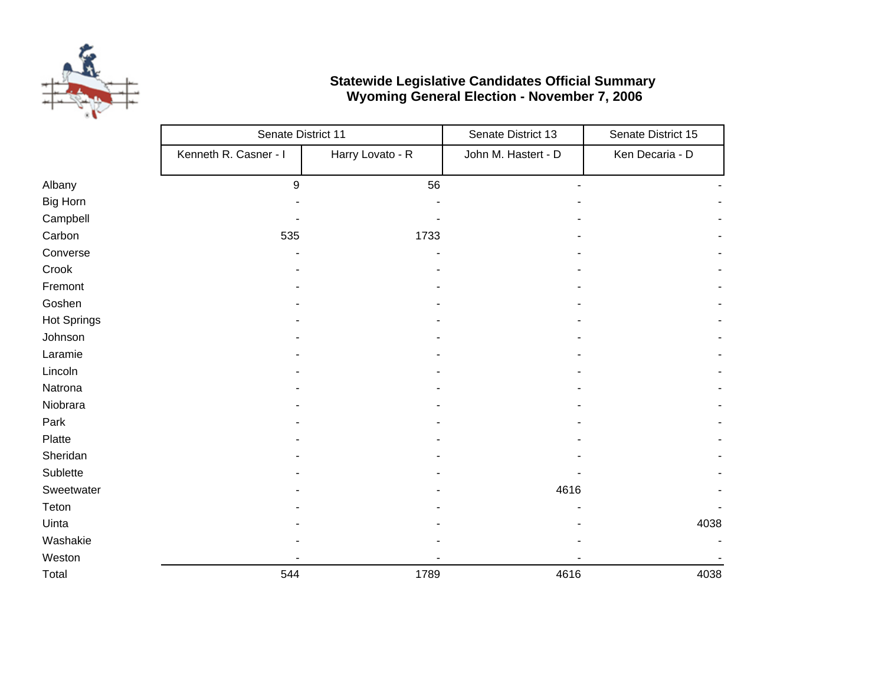

|             |                       | Senate District 11 |                     | Senate District 15 |
|-------------|-----------------------|--------------------|---------------------|--------------------|
|             | Kenneth R. Casner - I | Harry Lovato - R   | John M. Hastert - D | Ken Decaria - D    |
| Albany      | $\boldsymbol{9}$      | 56                 |                     |                    |
| Big Horn    |                       |                    |                     |                    |
| Campbell    |                       |                    |                     |                    |
| Carbon      | 535                   | 1733               |                     |                    |
| Converse    |                       |                    |                     |                    |
| Crook       |                       |                    |                     |                    |
| Fremont     |                       |                    |                     |                    |
| Goshen      |                       |                    |                     |                    |
| Hot Springs |                       |                    |                     |                    |
| Johnson     |                       |                    |                     |                    |
| Laramie     |                       |                    |                     |                    |
| Lincoln     |                       |                    |                     |                    |
| Natrona     |                       |                    |                     |                    |
| Niobrara    |                       |                    |                     |                    |
| Park        |                       |                    |                     |                    |
| Platte      |                       |                    |                     |                    |
| Sheridan    |                       |                    |                     |                    |
| Sublette    |                       |                    |                     |                    |
| Sweetwater  |                       |                    | 4616                |                    |
| Teton       |                       |                    |                     |                    |
| Uinta       |                       |                    |                     | 4038               |
| Washakie    |                       |                    |                     |                    |
| Weston      |                       |                    |                     |                    |
| Total       | 544                   | 1789               | 4616                | 4038               |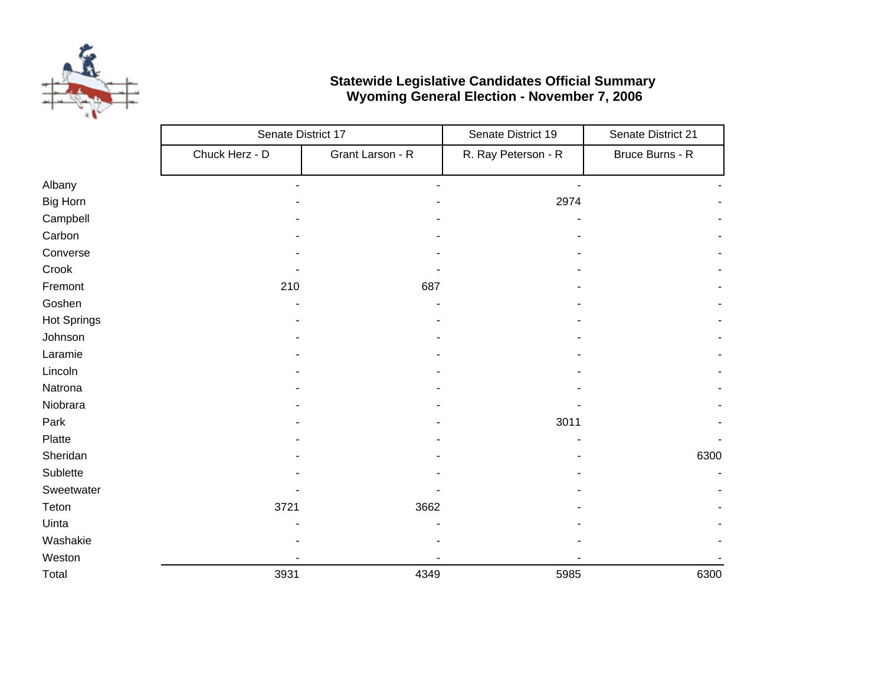

|                    |                | Senate District 17 |                     | Senate District 21 |
|--------------------|----------------|--------------------|---------------------|--------------------|
|                    | Chuck Herz - D | Grant Larson - R   | R. Ray Peterson - R | Bruce Burns - R    |
| Albany             |                |                    |                     |                    |
| Big Horn           |                |                    | 2974                |                    |
| Campbell           |                |                    |                     |                    |
| Carbon             |                |                    |                     |                    |
| Converse           |                |                    |                     |                    |
| Crook              |                |                    |                     |                    |
| Fremont            | 210            | 687                |                     |                    |
| Goshen             |                |                    |                     |                    |
| <b>Hot Springs</b> |                |                    |                     |                    |
| Johnson            |                |                    |                     |                    |
| Laramie            |                |                    |                     |                    |
| Lincoln            |                |                    |                     |                    |
| Natrona            |                |                    |                     |                    |
| Niobrara           |                |                    |                     |                    |
| Park               |                |                    | 3011                |                    |
| Platte             |                |                    |                     |                    |
| Sheridan           |                |                    |                     | 6300               |
| Sublette           |                |                    |                     |                    |
| Sweetwater         |                |                    |                     |                    |
| Teton              | 3721           | 3662               |                     |                    |
| Uinta              |                |                    |                     |                    |
| Washakie           |                |                    |                     |                    |
| Weston             |                |                    |                     |                    |
| Total              | 3931           | 4349               | 5985                | 6300               |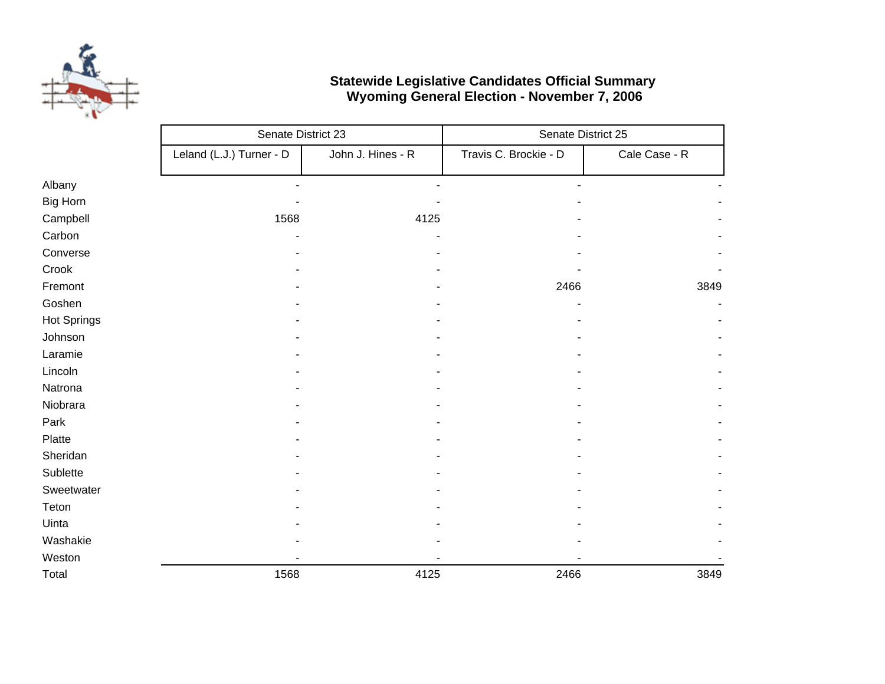

|             | Senate District 23       |                   | Senate District 25    |               |
|-------------|--------------------------|-------------------|-----------------------|---------------|
|             | Leland (L.J.) Turner - D | John J. Hines - R | Travis C. Brockie - D | Cale Case - R |
| Albany      |                          |                   |                       |               |
| Big Horn    |                          |                   |                       |               |
| Campbell    | 1568                     | 4125              |                       |               |
| Carbon      |                          |                   |                       |               |
| Converse    |                          |                   |                       |               |
| Crook       |                          |                   |                       |               |
| Fremont     |                          |                   | 2466                  | 3849          |
| Goshen      |                          |                   |                       |               |
| Hot Springs |                          |                   |                       |               |
| Johnson     |                          |                   |                       |               |
| Laramie     |                          |                   |                       |               |
| Lincoln     |                          |                   |                       |               |
| Natrona     |                          |                   |                       |               |
| Niobrara    |                          |                   |                       |               |
| Park        |                          |                   |                       |               |
| Platte      |                          |                   |                       |               |
| Sheridan    |                          |                   |                       |               |
| Sublette    |                          |                   |                       |               |
| Sweetwater  |                          |                   |                       |               |
| Teton       |                          |                   |                       |               |
| Uinta       |                          |                   |                       |               |
| Washakie    |                          |                   |                       |               |
| Weston      |                          |                   |                       |               |
| Total       | 1568                     | 4125              | 2466                  | 3849          |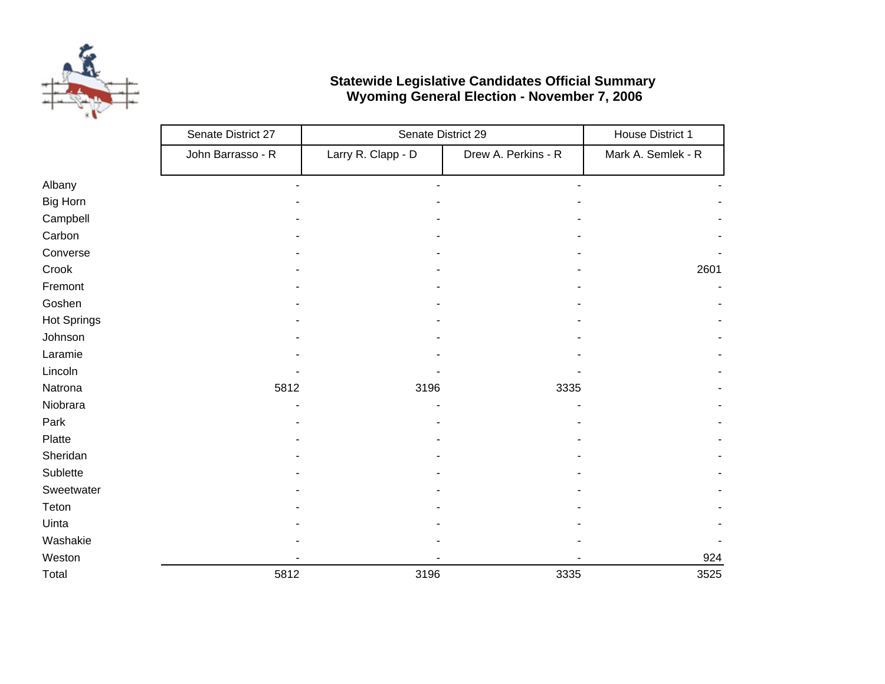

|                    | Senate District 27 | Senate District 29 |                     | House District 1   |
|--------------------|--------------------|--------------------|---------------------|--------------------|
|                    | John Barrasso - R  | Larry R. Clapp - D | Drew A. Perkins - R | Mark A. Semlek - R |
| Albany             |                    |                    |                     |                    |
| Big Horn           |                    |                    |                     |                    |
| Campbell           |                    |                    |                     |                    |
| Carbon             |                    |                    |                     |                    |
| Converse           |                    |                    |                     |                    |
| Crook              |                    |                    |                     | 2601               |
| Fremont            |                    |                    |                     |                    |
| Goshen             |                    |                    |                     |                    |
| <b>Hot Springs</b> |                    |                    |                     |                    |
| Johnson            |                    |                    |                     |                    |
| Laramie            |                    |                    |                     |                    |
| Lincoln            |                    |                    |                     |                    |
| Natrona            | 5812               | 3196               | 3335                |                    |
| Niobrara           |                    |                    |                     |                    |
| Park               |                    |                    |                     |                    |
| Platte             |                    |                    |                     |                    |
| Sheridan           |                    |                    |                     |                    |
| Sublette           |                    |                    |                     |                    |
| Sweetwater         |                    |                    |                     |                    |
| Teton              |                    |                    |                     |                    |
| Uinta              |                    |                    |                     |                    |
| Washakie           |                    |                    |                     |                    |
| Weston             |                    |                    |                     | 924                |
| Total              | 5812               | 3196               | 3335                | 3525               |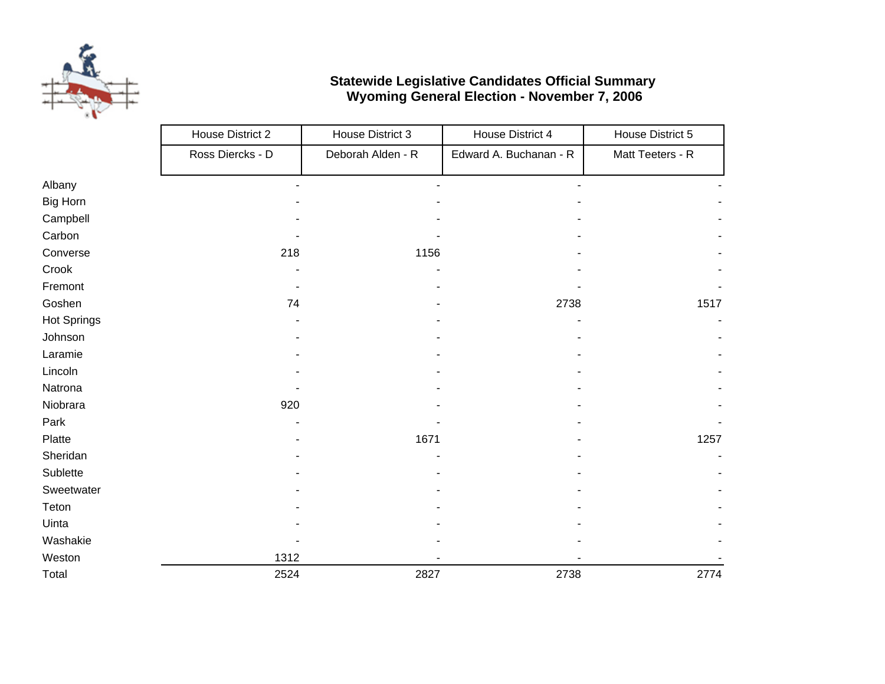

|                    | House District 2 | House District 3  | House District 4       | House District 5 |
|--------------------|------------------|-------------------|------------------------|------------------|
|                    | Ross Diercks - D | Deborah Alden - R | Edward A. Buchanan - R | Matt Teeters - R |
| Albany             |                  |                   |                        |                  |
| Big Horn           |                  |                   |                        |                  |
| Campbell           |                  |                   |                        |                  |
| Carbon             |                  |                   |                        |                  |
| Converse           | 218              | 1156              |                        |                  |
| Crook              |                  |                   |                        |                  |
| Fremont            |                  |                   |                        |                  |
| Goshen             | 74               |                   | 2738                   | 1517             |
| <b>Hot Springs</b> |                  |                   |                        |                  |
| Johnson            |                  |                   |                        |                  |
| Laramie            |                  |                   |                        |                  |
| Lincoln            |                  |                   |                        |                  |
| Natrona            |                  |                   |                        |                  |
| Niobrara           | 920              |                   |                        |                  |
| Park               |                  |                   |                        |                  |
| Platte             |                  | 1671              |                        | 1257             |
| Sheridan           |                  |                   |                        |                  |
| Sublette           |                  |                   |                        |                  |
| Sweetwater         |                  |                   |                        |                  |
| Teton              |                  |                   |                        |                  |
| Uinta              |                  |                   |                        |                  |
| Washakie           |                  |                   |                        |                  |
| Weston             | 1312             |                   |                        |                  |
| Total              | 2524             | 2827              | 2738                   | 2774             |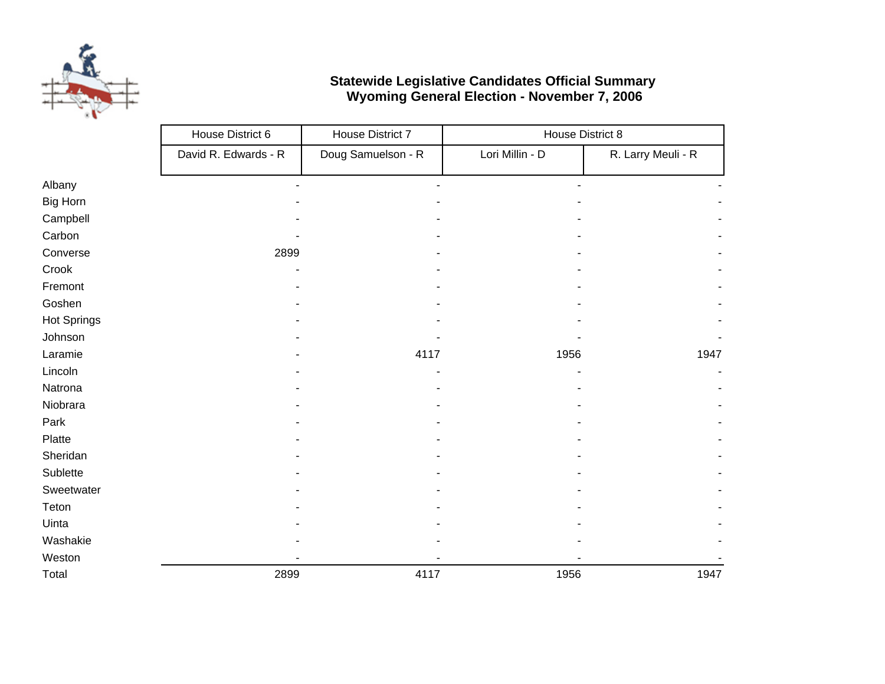

|             | House District 6     | House District 7   | House District 8 |                    |
|-------------|----------------------|--------------------|------------------|--------------------|
|             | David R. Edwards - R | Doug Samuelson - R | Lori Millin - D  | R. Larry Meuli - R |
| Albany      |                      |                    |                  |                    |
| Big Horn    |                      |                    |                  |                    |
| Campbell    |                      |                    |                  |                    |
| Carbon      |                      |                    |                  |                    |
| Converse    | 2899                 |                    |                  |                    |
| Crook       |                      |                    |                  |                    |
| Fremont     |                      |                    |                  |                    |
| Goshen      |                      |                    |                  |                    |
| Hot Springs |                      |                    |                  |                    |
| Johnson     |                      |                    |                  |                    |
| Laramie     |                      | 4117               | 1956             | 1947               |
| Lincoln     |                      |                    |                  |                    |
| Natrona     |                      |                    |                  |                    |
| Niobrara    |                      |                    |                  |                    |
| Park        |                      |                    |                  |                    |
| Platte      |                      |                    |                  |                    |
| Sheridan    |                      |                    |                  |                    |
| Sublette    |                      |                    |                  |                    |
| Sweetwater  |                      |                    |                  |                    |
| Teton       |                      |                    |                  |                    |
| Uinta       |                      |                    |                  |                    |
| Washakie    |                      |                    |                  |                    |
| Weston      |                      |                    |                  |                    |
| Total       | 2899                 | 4117               | 1956             | 1947               |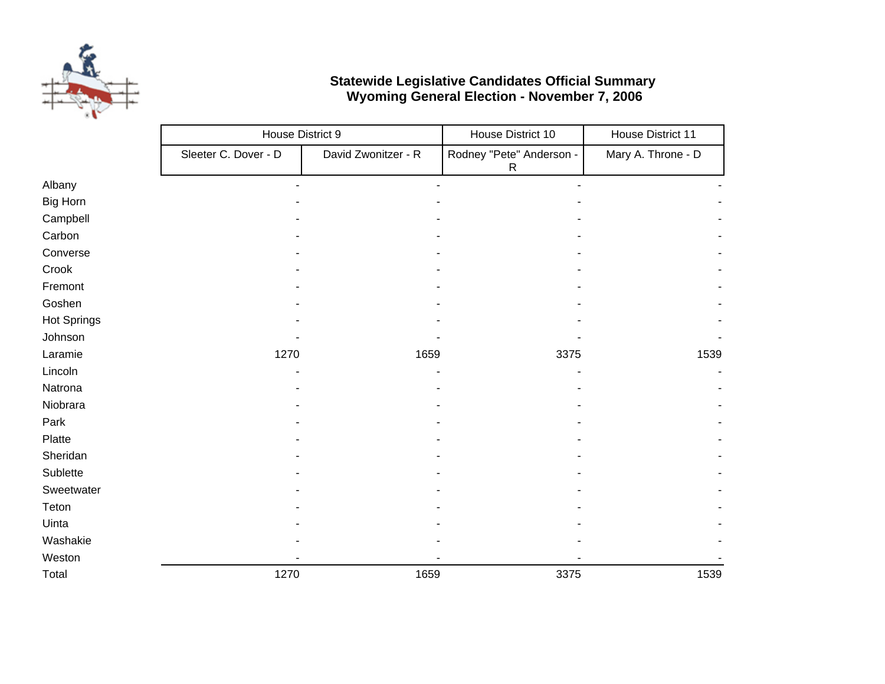

|                    | House District 9     |                     | House District 10                        | House District 11  |
|--------------------|----------------------|---------------------|------------------------------------------|--------------------|
|                    | Sleeter C. Dover - D | David Zwonitzer - R | Rodney "Pete" Anderson -<br>$\mathsf{R}$ | Mary A. Throne - D |
| Albany             |                      |                     |                                          |                    |
| Big Horn           |                      |                     |                                          |                    |
| Campbell           |                      |                     |                                          |                    |
| Carbon             |                      |                     |                                          |                    |
| Converse           |                      |                     |                                          |                    |
| Crook              |                      |                     |                                          |                    |
| Fremont            |                      |                     |                                          |                    |
| Goshen             |                      |                     |                                          |                    |
| <b>Hot Springs</b> |                      |                     |                                          |                    |
| Johnson            |                      |                     |                                          |                    |
| Laramie            | 1270                 | 1659                | 3375                                     | 1539               |
| Lincoln            |                      |                     |                                          |                    |
| Natrona            |                      |                     |                                          |                    |
| Niobrara           |                      |                     |                                          |                    |
| Park               |                      |                     |                                          |                    |
| Platte             |                      |                     |                                          |                    |
| Sheridan           |                      |                     |                                          |                    |
| Sublette           |                      |                     |                                          |                    |
| Sweetwater         |                      |                     |                                          |                    |
| Teton              |                      |                     |                                          |                    |
| Uinta              |                      |                     |                                          |                    |
| Washakie           |                      |                     |                                          |                    |
| Weston             |                      |                     |                                          |                    |
| Total              | 1270                 | 1659                | 3375                                     | 1539               |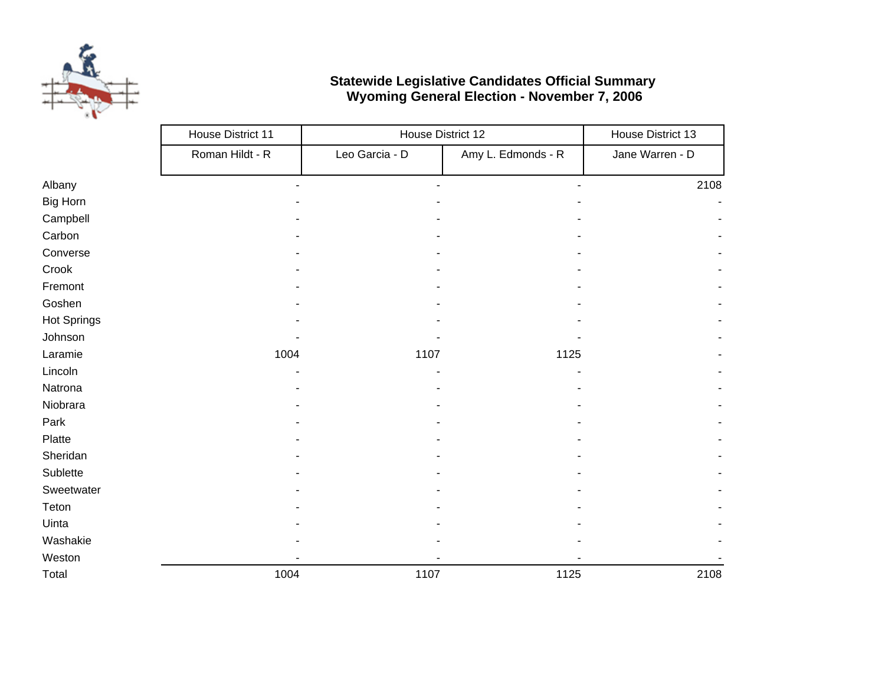

|                    | House District 11 | House District 12 |                    | House District 13 |
|--------------------|-------------------|-------------------|--------------------|-------------------|
|                    | Roman Hildt - R   | Leo Garcia - D    | Amy L. Edmonds - R | Jane Warren - D   |
| Albany             |                   |                   |                    | 2108              |
| Big Horn           |                   |                   |                    |                   |
| Campbell           |                   |                   |                    |                   |
| Carbon             |                   |                   |                    |                   |
| Converse           |                   |                   |                    |                   |
| Crook              |                   |                   |                    |                   |
| Fremont            |                   |                   |                    |                   |
| Goshen             |                   |                   |                    |                   |
| <b>Hot Springs</b> |                   |                   |                    |                   |
| Johnson            |                   |                   |                    |                   |
| Laramie            | 1004              | 1107              | 1125               |                   |
| Lincoln            |                   |                   |                    |                   |
| Natrona            |                   |                   |                    |                   |
| Niobrara           |                   |                   |                    |                   |
| Park               |                   |                   |                    |                   |
| Platte             |                   |                   |                    |                   |
| Sheridan           |                   |                   |                    |                   |
| Sublette           |                   |                   |                    |                   |
| Sweetwater         |                   |                   |                    |                   |
| Teton              |                   |                   |                    |                   |
| Uinta              |                   |                   |                    |                   |
| Washakie           |                   |                   |                    |                   |
| Weston             |                   |                   |                    |                   |
| Total              | 1004              | 1107              | 1125               | 2108              |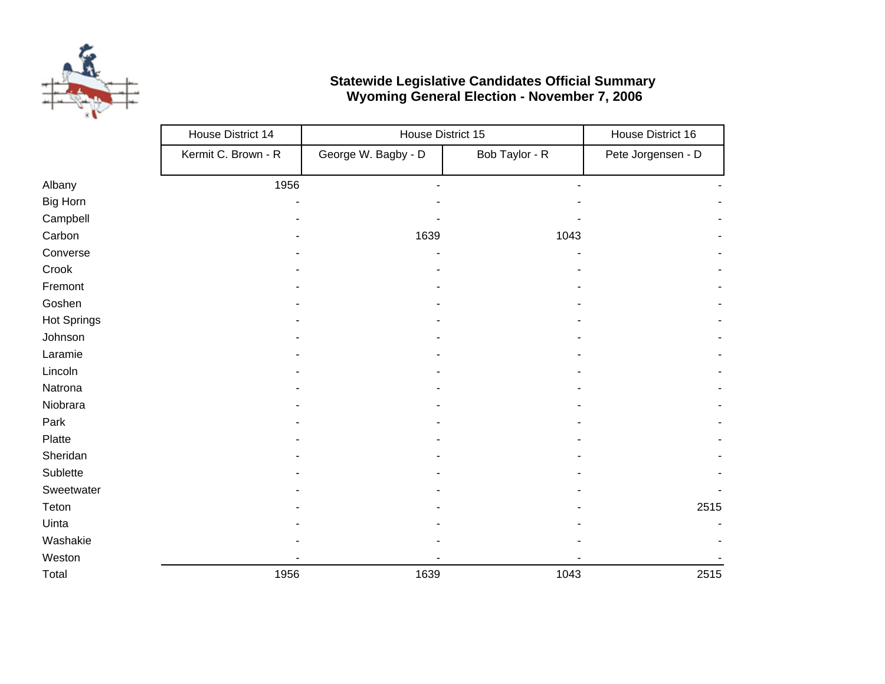

|                    | House District 14   | House District 15   |                | House District 16  |
|--------------------|---------------------|---------------------|----------------|--------------------|
|                    | Kermit C. Brown - R | George W. Bagby - D | Bob Taylor - R | Pete Jorgensen - D |
| Albany             | 1956                |                     |                |                    |
| Big Horn           |                     |                     |                |                    |
| Campbell           |                     |                     |                |                    |
| Carbon             |                     | 1639                | 1043           |                    |
| Converse           |                     |                     |                |                    |
| Crook              |                     |                     |                |                    |
| Fremont            |                     |                     |                |                    |
| Goshen             |                     |                     |                |                    |
| <b>Hot Springs</b> |                     |                     |                |                    |
| Johnson            |                     |                     |                |                    |
| Laramie            |                     |                     |                |                    |
| Lincoln            |                     |                     |                |                    |
| Natrona            |                     |                     |                |                    |
| Niobrara           |                     |                     |                |                    |
| Park               |                     |                     |                |                    |
| Platte             |                     |                     |                |                    |
| Sheridan           |                     |                     |                |                    |
| Sublette           |                     |                     |                |                    |
| Sweetwater         |                     |                     |                |                    |
| Teton              |                     |                     |                | 2515               |
| Uinta              |                     |                     |                |                    |
| Washakie           |                     |                     |                |                    |
| Weston             |                     |                     |                |                    |
| Total              | 1956                | 1639                | 1043           | 2515               |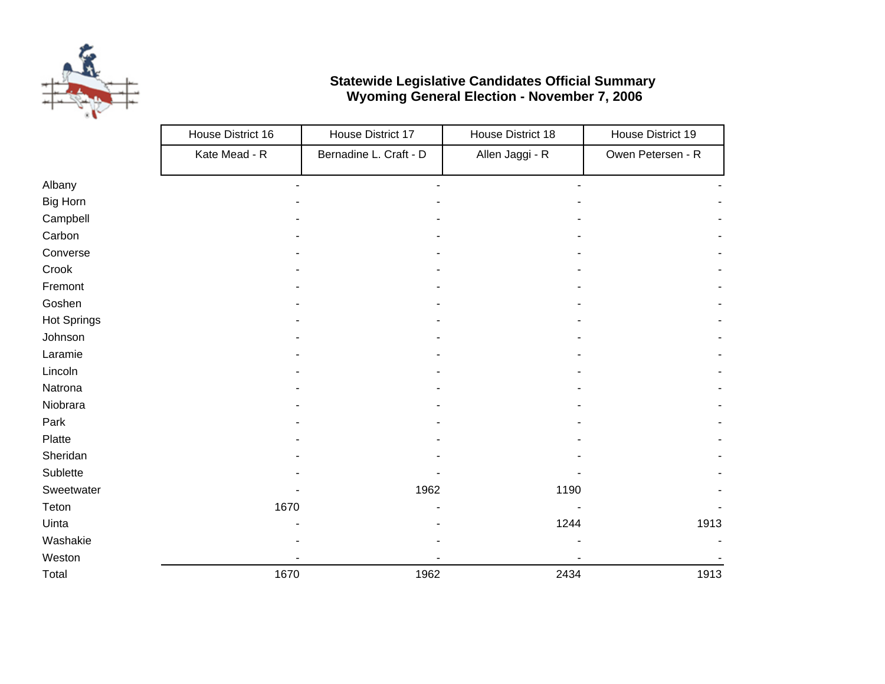

|                    | House District 16 | House District 17      | House District 18 | House District 19 |
|--------------------|-------------------|------------------------|-------------------|-------------------|
|                    | Kate Mead - R     | Bernadine L. Craft - D | Allen Jaggi - R   | Owen Petersen - R |
| Albany             |                   |                        |                   |                   |
| Big Horn           |                   |                        |                   |                   |
| Campbell           |                   |                        |                   |                   |
| Carbon             |                   |                        |                   |                   |
| Converse           |                   |                        |                   |                   |
| Crook              |                   |                        |                   |                   |
| Fremont            |                   |                        |                   |                   |
| Goshen             |                   |                        |                   |                   |
| <b>Hot Springs</b> |                   |                        |                   |                   |
| Johnson            |                   |                        |                   |                   |
| Laramie            |                   |                        |                   |                   |
| Lincoln            |                   |                        |                   |                   |
| Natrona            |                   |                        |                   |                   |
| Niobrara           |                   |                        |                   |                   |
| Park               |                   |                        |                   |                   |
| Platte             |                   |                        |                   |                   |
| Sheridan           |                   |                        |                   |                   |
| Sublette           |                   |                        |                   |                   |
| Sweetwater         |                   | 1962                   | 1190              |                   |
| Teton              | 1670              |                        |                   |                   |
| Uinta              |                   |                        | 1244              | 1913              |
| Washakie           |                   |                        |                   |                   |
| Weston             |                   |                        |                   |                   |
| Total              | 1670              | 1962                   | 2434              | 1913              |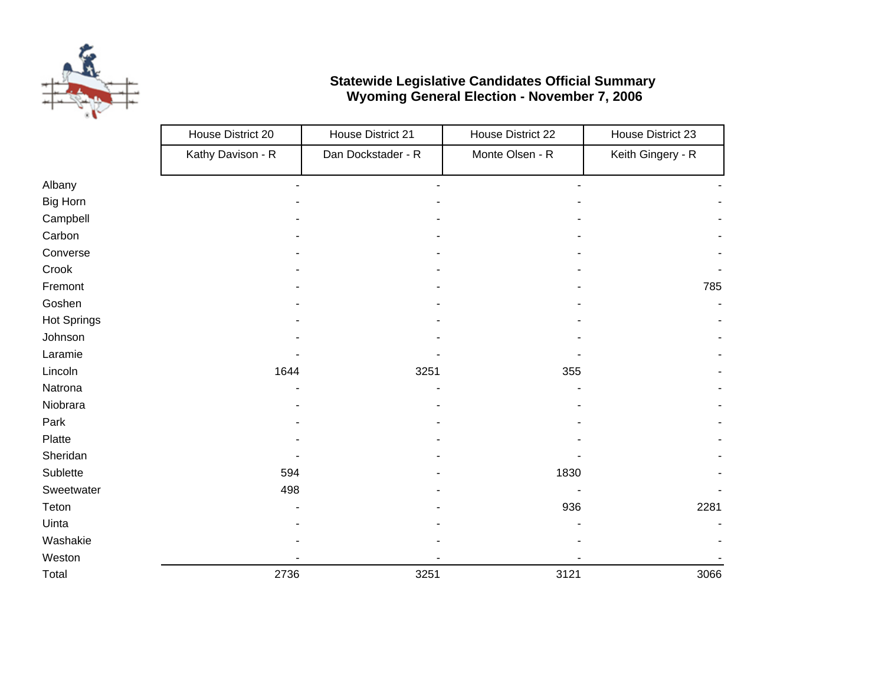

|                    | House District 20 | House District 21  | House District 22 | House District 23 |
|--------------------|-------------------|--------------------|-------------------|-------------------|
|                    | Kathy Davison - R | Dan Dockstader - R | Monte Olsen - R   | Keith Gingery - R |
| Albany             |                   |                    |                   |                   |
| Big Horn           |                   |                    |                   |                   |
| Campbell           |                   |                    |                   |                   |
| Carbon             |                   |                    |                   |                   |
| Converse           |                   |                    |                   |                   |
| Crook              |                   |                    |                   |                   |
| Fremont            |                   |                    |                   | 785               |
| Goshen             |                   |                    |                   |                   |
| <b>Hot Springs</b> |                   |                    |                   |                   |
| Johnson            |                   |                    |                   |                   |
| Laramie            |                   |                    |                   |                   |
| Lincoln            | 1644              | 3251               | 355               |                   |
| Natrona            |                   |                    |                   |                   |
| Niobrara           |                   |                    |                   |                   |
| Park               |                   |                    |                   |                   |
| Platte             |                   |                    |                   |                   |
| Sheridan           |                   |                    |                   |                   |
| Sublette           | 594               |                    | 1830              |                   |
| Sweetwater         | 498               |                    |                   |                   |
| Teton              |                   |                    | 936               | 2281              |
| Uinta              |                   |                    |                   |                   |
| Washakie           |                   |                    |                   |                   |
| Weston             |                   |                    |                   |                   |
| Total              | 2736              | 3251               | 3121              | 3066              |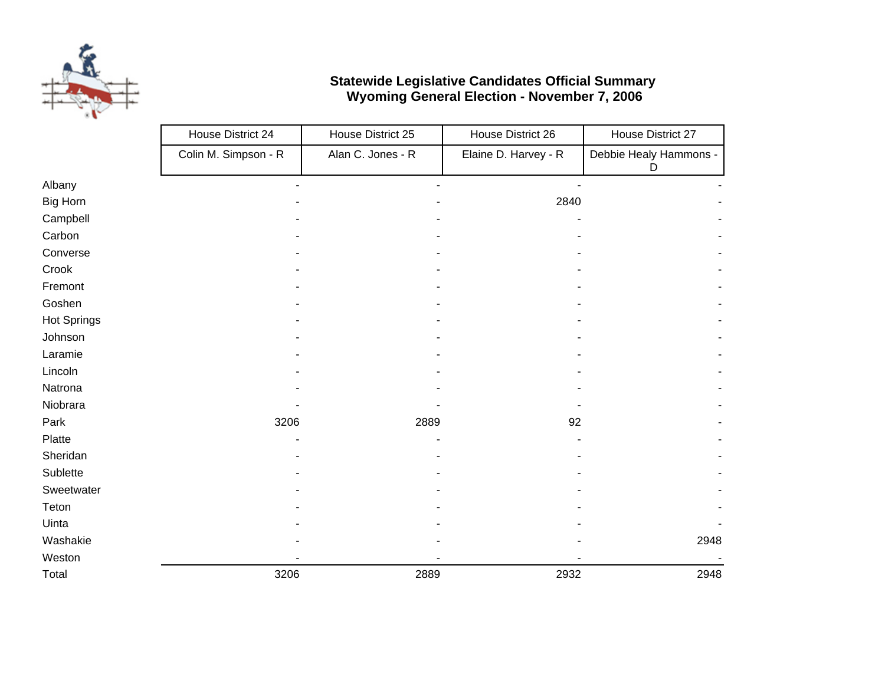

|                    | House District 24    | House District 25 | House District 26    | House District 27           |
|--------------------|----------------------|-------------------|----------------------|-----------------------------|
|                    | Colin M. Simpson - R | Alan C. Jones - R | Elaine D. Harvey - R | Debbie Healy Hammons -<br>D |
| Albany             |                      |                   |                      |                             |
| Big Horn           |                      |                   | 2840                 |                             |
| Campbell           |                      |                   |                      |                             |
| Carbon             |                      |                   |                      |                             |
| Converse           |                      |                   |                      |                             |
| Crook              |                      |                   |                      |                             |
| Fremont            |                      |                   |                      |                             |
| Goshen             |                      |                   |                      |                             |
| <b>Hot Springs</b> |                      |                   |                      |                             |
| Johnson            |                      |                   |                      |                             |
| Laramie            |                      |                   |                      |                             |
| Lincoln            |                      |                   |                      |                             |
| Natrona            |                      |                   |                      |                             |
| Niobrara           |                      |                   |                      |                             |
| Park               | 3206                 | 2889              | 92                   |                             |
| Platte             |                      |                   |                      |                             |
| Sheridan           |                      |                   |                      |                             |
| Sublette           |                      |                   |                      |                             |
| Sweetwater         |                      |                   |                      |                             |
| Teton              |                      |                   |                      |                             |
| Uinta              |                      |                   |                      |                             |
| Washakie           |                      |                   |                      | 2948                        |
| Weston             |                      |                   |                      |                             |
| Total              | 3206                 | 2889              | 2932                 | 2948                        |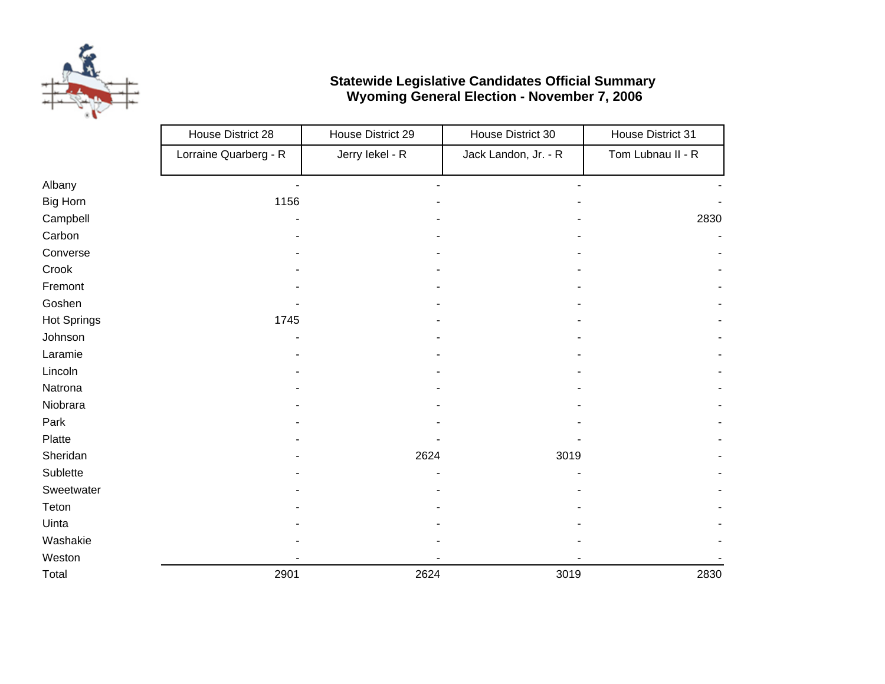

|                    | House District 28     | House District 29 | House District 30    | House District 31 |
|--------------------|-----------------------|-------------------|----------------------|-------------------|
|                    | Lorraine Quarberg - R | Jerry lekel - R   | Jack Landon, Jr. - R | Tom Lubnau II - R |
| Albany             |                       |                   |                      |                   |
| Big Horn           | 1156                  |                   |                      |                   |
| Campbell           |                       |                   |                      | 2830              |
| Carbon             |                       |                   |                      |                   |
| Converse           |                       |                   |                      |                   |
| Crook              |                       |                   |                      |                   |
| Fremont            |                       |                   |                      |                   |
| Goshen             |                       |                   |                      |                   |
| <b>Hot Springs</b> | 1745                  |                   |                      |                   |
| Johnson            |                       |                   |                      |                   |
| Laramie            |                       |                   |                      |                   |
| Lincoln            |                       |                   |                      |                   |
| Natrona            |                       |                   |                      |                   |
| Niobrara           |                       |                   |                      |                   |
| Park               |                       |                   |                      |                   |
| Platte             |                       |                   |                      |                   |
| Sheridan           |                       | 2624              | 3019                 |                   |
| Sublette           |                       |                   |                      |                   |
| Sweetwater         |                       |                   |                      |                   |
| Teton              |                       |                   |                      |                   |
| Uinta              |                       |                   |                      |                   |
| Washakie           |                       |                   |                      |                   |
| Weston             |                       |                   |                      |                   |
| Total              | 2901                  | 2624              | 3019                 | 2830              |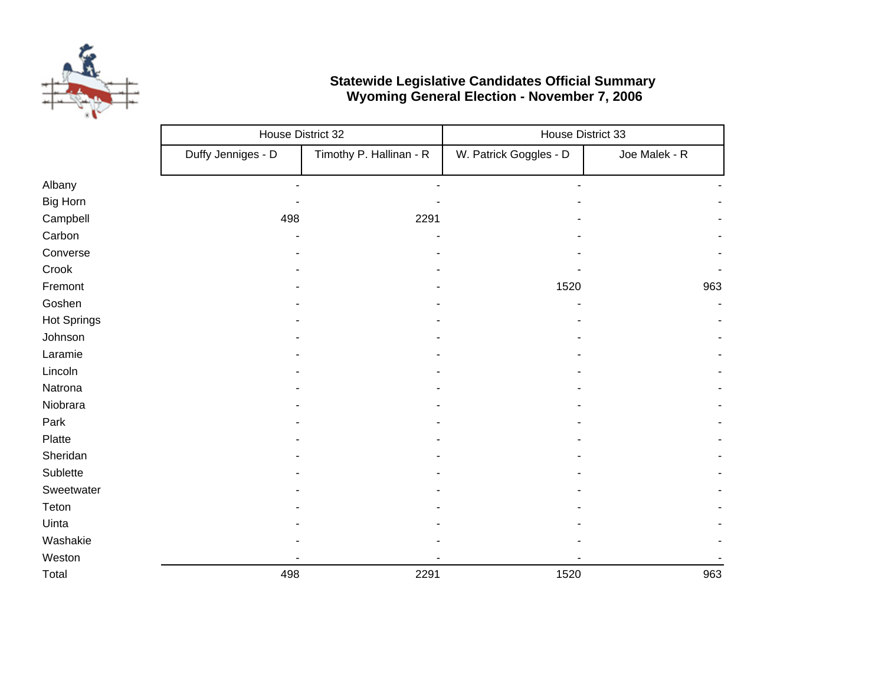

|             |                    | House District 32       |                        | House District 33 |  |
|-------------|--------------------|-------------------------|------------------------|-------------------|--|
|             | Duffy Jenniges - D | Timothy P. Hallinan - R | W. Patrick Goggles - D | Joe Malek - R     |  |
| Albany      |                    |                         |                        |                   |  |
| Big Horn    |                    |                         |                        |                   |  |
| Campbell    | 498                | 2291                    |                        |                   |  |
| Carbon      |                    |                         |                        |                   |  |
| Converse    |                    |                         |                        |                   |  |
| Crook       |                    |                         |                        |                   |  |
| Fremont     |                    |                         | 1520                   | 963               |  |
| Goshen      |                    |                         |                        |                   |  |
| Hot Springs |                    |                         |                        |                   |  |
| Johnson     |                    |                         |                        |                   |  |
| Laramie     |                    |                         |                        |                   |  |
| Lincoln     |                    |                         |                        |                   |  |
| Natrona     |                    |                         |                        |                   |  |
| Niobrara    |                    |                         |                        |                   |  |
| Park        |                    |                         |                        |                   |  |
| Platte      |                    |                         |                        |                   |  |
| Sheridan    |                    |                         |                        |                   |  |
| Sublette    |                    |                         |                        |                   |  |
| Sweetwater  |                    |                         |                        |                   |  |
| Teton       |                    |                         |                        |                   |  |
| Uinta       |                    |                         |                        |                   |  |
| Washakie    |                    |                         |                        |                   |  |
| Weston      |                    |                         |                        |                   |  |
| Total       | 498                | 2291                    | 1520                   | 963               |  |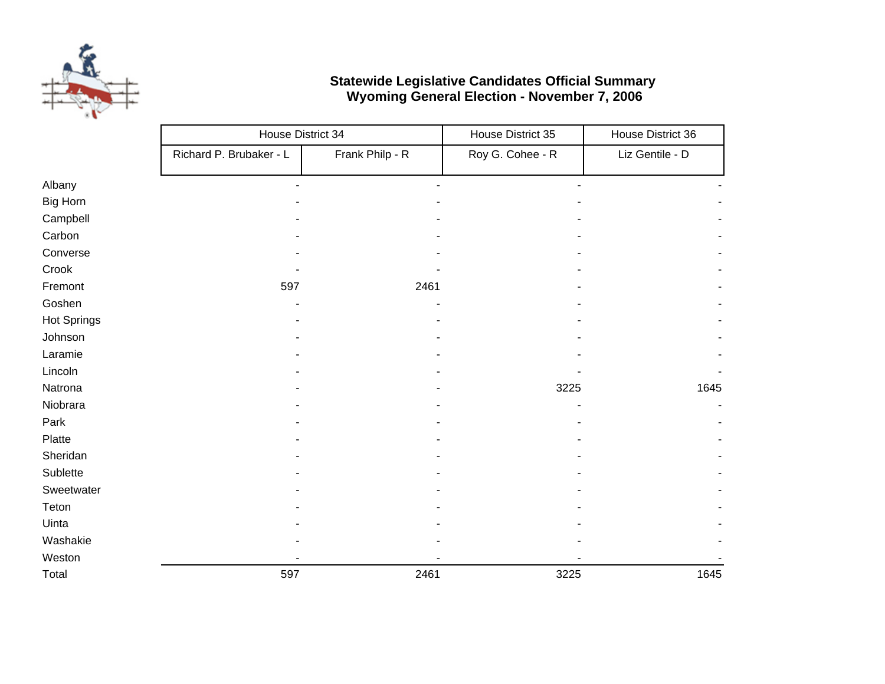

|                 | House District 34       |                 | House District 35 | House District 36 |
|-----------------|-------------------------|-----------------|-------------------|-------------------|
|                 | Richard P. Brubaker - L | Frank Philp - R | Roy G. Cohee - R  | Liz Gentile - D   |
| Albany          |                         |                 |                   |                   |
| <b>Big Horn</b> |                         |                 |                   |                   |
| Campbell        |                         |                 |                   |                   |
| Carbon          |                         |                 |                   |                   |
| Converse        |                         |                 |                   |                   |
| Crook           |                         |                 |                   |                   |
| Fremont         | 597                     | 2461            |                   |                   |
| Goshen          |                         |                 |                   |                   |
| Hot Springs     |                         |                 |                   |                   |
| Johnson         |                         |                 |                   |                   |
| Laramie         |                         |                 |                   |                   |
| Lincoln         |                         |                 |                   |                   |
| Natrona         |                         |                 | 3225              | 1645              |
| Niobrara        |                         |                 |                   |                   |
| Park            |                         |                 |                   |                   |
| Platte          |                         |                 |                   |                   |
| Sheridan        |                         |                 |                   |                   |
| Sublette        |                         |                 |                   |                   |
| Sweetwater      |                         |                 |                   |                   |
| Teton           |                         |                 |                   |                   |
| Uinta           |                         |                 |                   |                   |
| Washakie        |                         |                 |                   |                   |
| Weston          |                         |                 |                   |                   |
| Total           | 597                     | 2461            | 3225              | 1645              |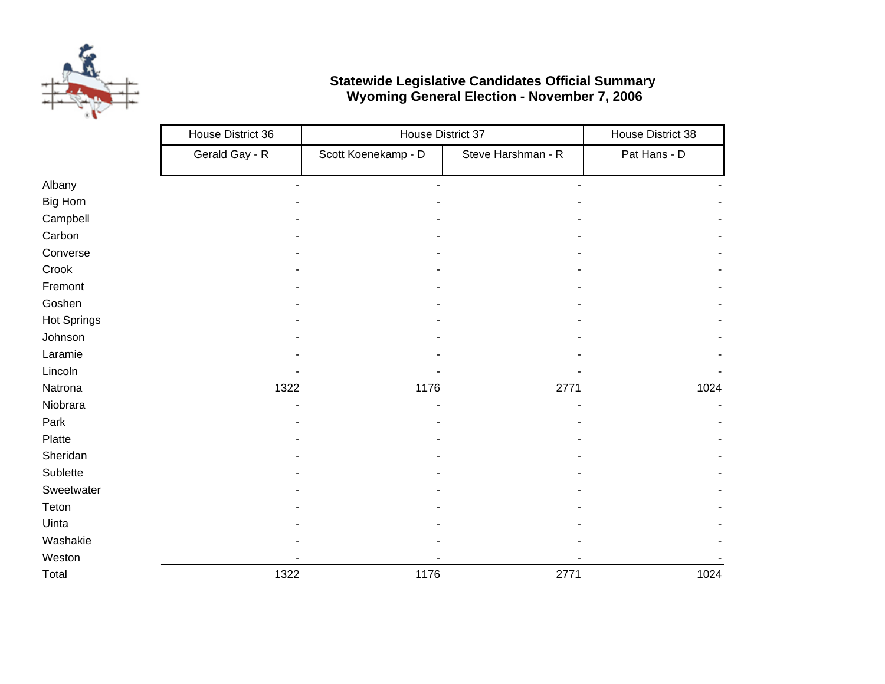

|             | House District 36 | House District 37   |                    | House District 38 |
|-------------|-------------------|---------------------|--------------------|-------------------|
|             | Gerald Gay - R    | Scott Koenekamp - D | Steve Harshman - R | Pat Hans - D      |
| Albany      |                   |                     |                    |                   |
| Big Horn    |                   |                     |                    |                   |
| Campbell    |                   |                     |                    |                   |
| Carbon      |                   |                     |                    |                   |
| Converse    |                   |                     |                    |                   |
| Crook       |                   |                     |                    |                   |
| Fremont     |                   |                     |                    |                   |
| Goshen      |                   |                     |                    |                   |
| Hot Springs |                   |                     |                    |                   |
| Johnson     |                   |                     |                    |                   |
| Laramie     |                   |                     |                    |                   |
| Lincoln     |                   |                     |                    |                   |
| Natrona     | 1322              | 1176                | 2771               | 1024              |
| Niobrara    |                   |                     |                    |                   |
| Park        |                   |                     |                    |                   |
| Platte      |                   |                     |                    |                   |
| Sheridan    |                   |                     |                    |                   |
| Sublette    |                   |                     |                    |                   |
| Sweetwater  |                   |                     |                    |                   |
| Teton       |                   |                     |                    |                   |
| Uinta       |                   |                     |                    |                   |
| Washakie    |                   |                     |                    |                   |
| Weston      |                   |                     |                    |                   |
| Total       | 1322              | 1176                | 2771               | 1024              |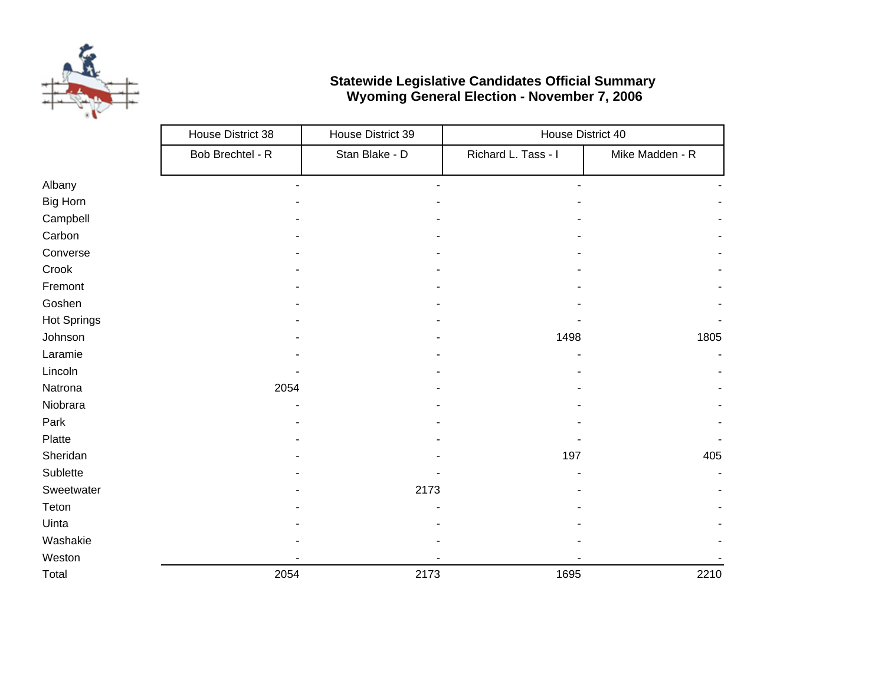

|                    | House District 38<br>House District 39 |                |                     | House District 40 |  |
|--------------------|----------------------------------------|----------------|---------------------|-------------------|--|
|                    | Bob Brechtel - R                       | Stan Blake - D | Richard L. Tass - I | Mike Madden - R   |  |
| Albany             |                                        |                |                     |                   |  |
| Big Horn           |                                        |                |                     |                   |  |
| Campbell           |                                        |                |                     |                   |  |
| Carbon             |                                        |                |                     |                   |  |
| Converse           |                                        |                |                     |                   |  |
| Crook              |                                        |                |                     |                   |  |
| Fremont            |                                        |                |                     |                   |  |
| Goshen             |                                        |                |                     |                   |  |
| <b>Hot Springs</b> |                                        |                |                     |                   |  |
| Johnson            |                                        |                | 1498                | 1805              |  |
| Laramie            |                                        |                |                     |                   |  |
| Lincoln            |                                        |                |                     |                   |  |
| Natrona            | 2054                                   |                |                     |                   |  |
| Niobrara           |                                        |                |                     |                   |  |
| Park               |                                        |                |                     |                   |  |
| Platte             |                                        |                |                     |                   |  |
| Sheridan           |                                        |                | 197                 | 405               |  |
| Sublette           |                                        |                |                     |                   |  |
| Sweetwater         |                                        | 2173           |                     |                   |  |
| Teton              |                                        |                |                     |                   |  |
| Uinta              |                                        |                |                     |                   |  |
| Washakie           |                                        |                |                     |                   |  |
| Weston             |                                        |                |                     |                   |  |
| Total              | 2054                                   | 2173           | 1695                | 2210              |  |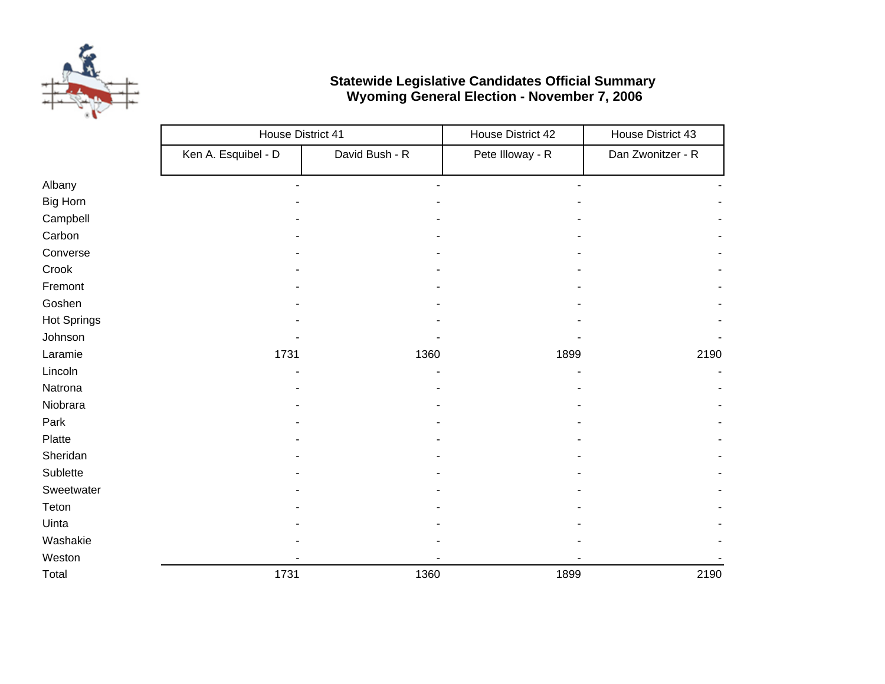

|             | House District 41   |                | House District 42 | House District 43 |
|-------------|---------------------|----------------|-------------------|-------------------|
|             | Ken A. Esquibel - D | David Bush - R | Pete Illoway - R  | Dan Zwonitzer - R |
| Albany      |                     |                |                   |                   |
| Big Horn    |                     |                |                   |                   |
| Campbell    |                     |                |                   |                   |
| Carbon      |                     |                |                   |                   |
| Converse    |                     |                |                   |                   |
| Crook       |                     |                |                   |                   |
| Fremont     |                     |                |                   |                   |
| Goshen      |                     |                |                   |                   |
| Hot Springs |                     |                |                   |                   |
| Johnson     |                     |                |                   |                   |
| Laramie     | 1731                | 1360           | 1899              | 2190              |
| Lincoln     |                     |                |                   |                   |
| Natrona     |                     |                |                   |                   |
| Niobrara    |                     |                |                   |                   |
| Park        |                     |                |                   |                   |
| Platte      |                     |                |                   |                   |
| Sheridan    |                     |                |                   |                   |
| Sublette    |                     |                |                   |                   |
| Sweetwater  |                     |                |                   |                   |
| Teton       |                     |                |                   |                   |
| Uinta       |                     |                |                   |                   |
| Washakie    |                     |                |                   |                   |
| Weston      |                     |                |                   |                   |
| Total       | 1731                | 1360           | 1899              | 2190              |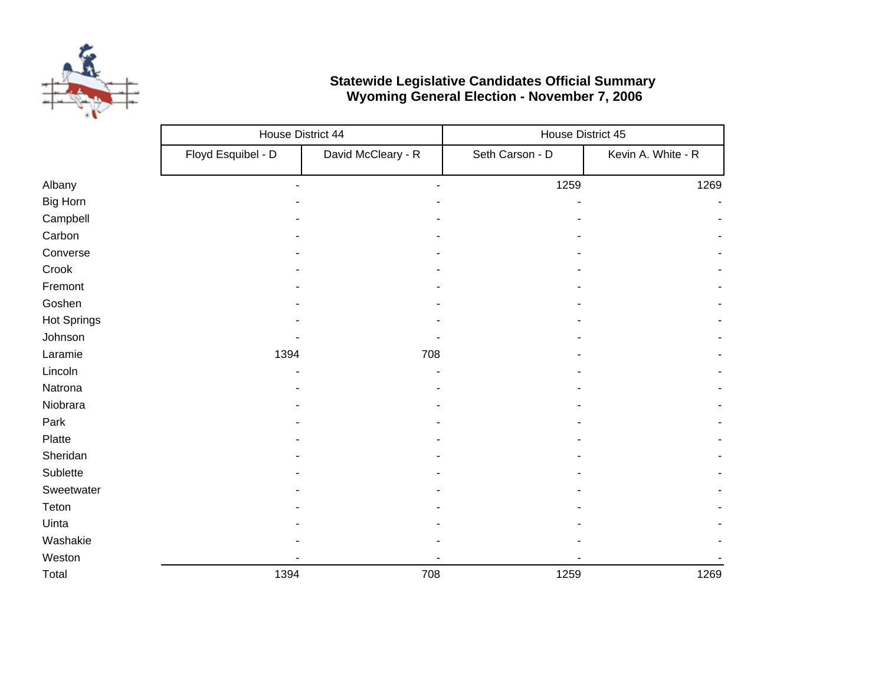

|             |                    | House District 44  |                 | House District 45  |  |
|-------------|--------------------|--------------------|-----------------|--------------------|--|
|             | Floyd Esquibel - D | David McCleary - R | Seth Carson - D | Kevin A. White - R |  |
| Albany      |                    |                    | 1259            | 1269               |  |
| Big Horn    |                    |                    |                 |                    |  |
| Campbell    |                    |                    |                 |                    |  |
| Carbon      |                    |                    |                 |                    |  |
| Converse    |                    |                    |                 |                    |  |
| Crook       |                    |                    |                 |                    |  |
| Fremont     |                    |                    |                 |                    |  |
| Goshen      |                    |                    |                 |                    |  |
| Hot Springs |                    |                    |                 |                    |  |
| Johnson     |                    |                    |                 |                    |  |
| Laramie     | 1394               | 708                |                 |                    |  |
| Lincoln     |                    |                    |                 |                    |  |
| Natrona     |                    |                    |                 |                    |  |
| Niobrara    |                    |                    |                 |                    |  |
| Park        |                    |                    |                 |                    |  |
| Platte      |                    |                    |                 |                    |  |
| Sheridan    |                    |                    |                 |                    |  |
| Sublette    |                    |                    |                 |                    |  |
| Sweetwater  |                    |                    |                 |                    |  |
| Teton       |                    |                    |                 |                    |  |
| Uinta       |                    |                    |                 |                    |  |
| Washakie    |                    |                    |                 |                    |  |
| Weston      |                    |                    |                 |                    |  |
| Total       | 1394               | 708                | 1259            | 1269               |  |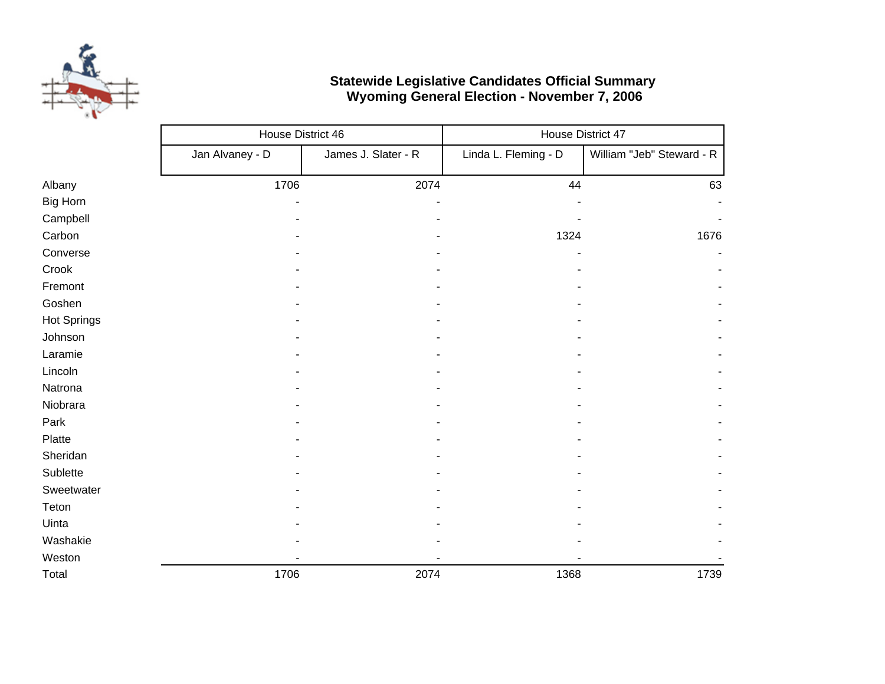

|             | House District 46 |                     | House District 47    |                           |
|-------------|-------------------|---------------------|----------------------|---------------------------|
|             | Jan Alvaney - D   | James J. Slater - R | Linda L. Fleming - D | William "Jeb" Steward - R |
| Albany      | 1706              | 2074                | 44                   | 63                        |
| Big Horn    |                   |                     |                      |                           |
| Campbell    |                   |                     |                      |                           |
| Carbon      |                   |                     | 1324                 | 1676                      |
| Converse    |                   |                     |                      |                           |
| Crook       |                   |                     |                      |                           |
| Fremont     |                   |                     |                      |                           |
| Goshen      |                   |                     |                      |                           |
| Hot Springs |                   |                     |                      |                           |
| Johnson     |                   |                     |                      |                           |
| Laramie     |                   |                     |                      |                           |
| Lincoln     |                   |                     |                      |                           |
| Natrona     |                   |                     |                      |                           |
| Niobrara    |                   |                     |                      |                           |
| Park        |                   |                     |                      |                           |
| Platte      |                   |                     |                      |                           |
| Sheridan    |                   |                     |                      |                           |
| Sublette    |                   |                     |                      |                           |
| Sweetwater  |                   |                     |                      |                           |
| Teton       |                   |                     |                      |                           |
| Uinta       |                   |                     |                      |                           |
| Washakie    |                   |                     |                      |                           |
| Weston      |                   |                     |                      |                           |
| Total       | 1706              | 2074                | 1368                 | 1739                      |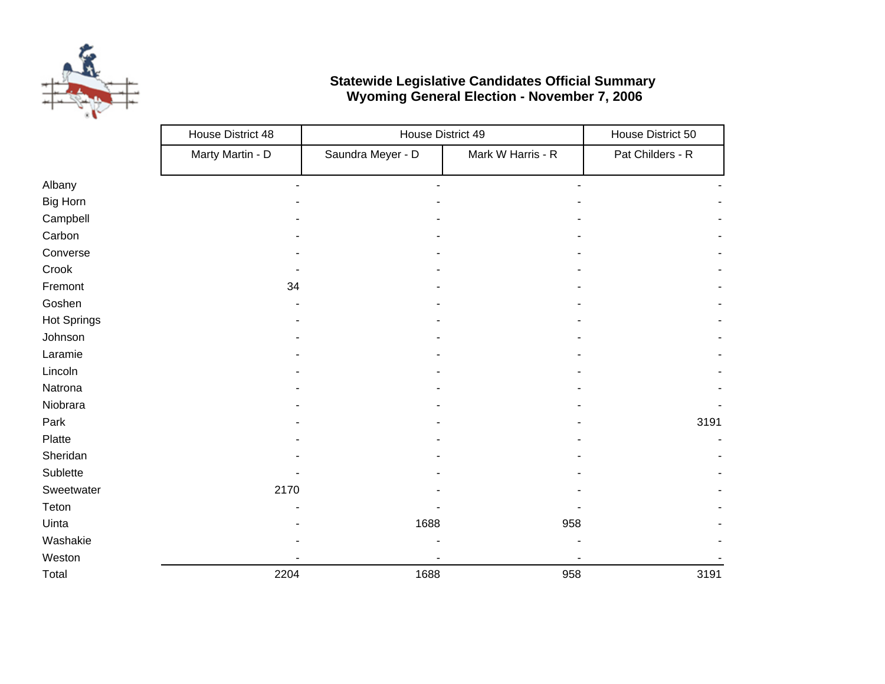

|             | House District 48 | House District 49 |                   | House District 50 |
|-------------|-------------------|-------------------|-------------------|-------------------|
|             | Marty Martin - D  | Saundra Meyer - D | Mark W Harris - R | Pat Childers - R  |
| Albany      |                   |                   |                   |                   |
| Big Horn    |                   |                   |                   |                   |
| Campbell    |                   |                   |                   |                   |
| Carbon      |                   |                   |                   |                   |
| Converse    |                   |                   |                   |                   |
| Crook       |                   |                   |                   |                   |
| Fremont     | 34                |                   |                   |                   |
| Goshen      |                   |                   |                   |                   |
| Hot Springs |                   |                   |                   |                   |
| Johnson     |                   |                   |                   |                   |
| Laramie     |                   |                   |                   |                   |
| Lincoln     |                   |                   |                   |                   |
| Natrona     |                   |                   |                   |                   |
| Niobrara    |                   |                   |                   |                   |
| Park        |                   |                   |                   | 3191              |
| Platte      |                   |                   |                   |                   |
| Sheridan    |                   |                   |                   |                   |
| Sublette    |                   |                   |                   |                   |
| Sweetwater  | 2170              |                   |                   |                   |
| Teton       |                   |                   |                   |                   |
| Uinta       |                   | 1688              | 958               |                   |
| Washakie    |                   |                   |                   |                   |
| Weston      |                   |                   |                   |                   |
| Total       | 2204              | 1688              | 958               | 3191              |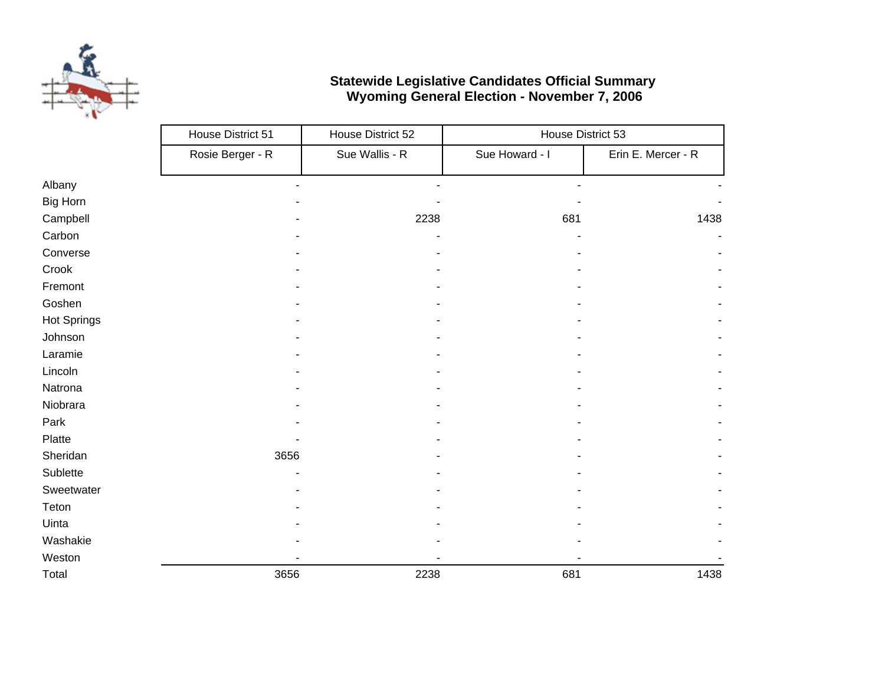

|             | House District 51 | House District 52 | House District 53 |                    |
|-------------|-------------------|-------------------|-------------------|--------------------|
|             | Rosie Berger - R  | Sue Wallis - R    | Sue Howard - I    | Erin E. Mercer - R |
| Albany      |                   |                   |                   |                    |
| Big Horn    |                   |                   |                   |                    |
| Campbell    |                   | 2238              | 681               | 1438               |
| Carbon      |                   |                   |                   |                    |
| Converse    |                   |                   |                   |                    |
| Crook       |                   |                   |                   |                    |
| Fremont     |                   |                   |                   |                    |
| Goshen      |                   |                   |                   |                    |
| Hot Springs |                   |                   |                   |                    |
| Johnson     |                   |                   |                   |                    |
| Laramie     |                   |                   |                   |                    |
| Lincoln     |                   |                   |                   |                    |
| Natrona     |                   |                   |                   |                    |
| Niobrara    |                   |                   |                   |                    |
| Park        |                   |                   |                   |                    |
| Platte      |                   |                   |                   |                    |
| Sheridan    | 3656              |                   |                   |                    |
| Sublette    |                   |                   |                   |                    |
| Sweetwater  |                   |                   |                   |                    |
| Teton       |                   |                   |                   |                    |
| Uinta       |                   |                   |                   |                    |
| Washakie    |                   |                   |                   |                    |
| Weston      |                   |                   |                   |                    |
| Total       | 3656              | 2238              | 681               | 1438               |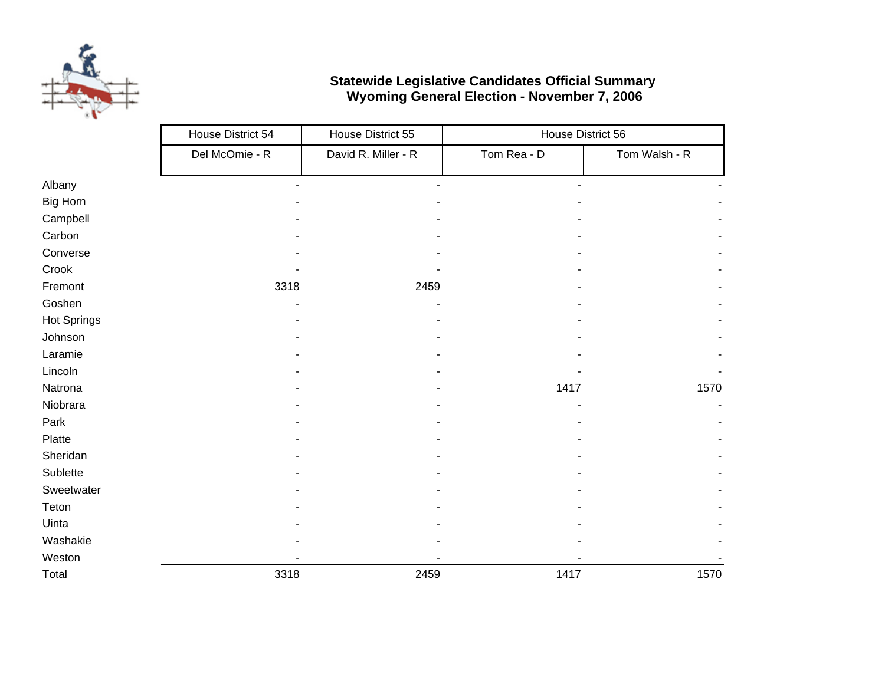

|                    | House District 54 | House District 55   | House District 56 |               |
|--------------------|-------------------|---------------------|-------------------|---------------|
|                    | Del McOmie - R    | David R. Miller - R | Tom Rea - D       | Tom Walsh - R |
| Albany             |                   |                     |                   |               |
| Big Horn           |                   |                     |                   |               |
| Campbell           |                   |                     |                   |               |
| Carbon             |                   |                     |                   |               |
| Converse           |                   |                     |                   |               |
| Crook              |                   |                     |                   |               |
| Fremont            | 3318              | 2459                |                   |               |
| Goshen             |                   |                     |                   |               |
| <b>Hot Springs</b> |                   |                     |                   |               |
| Johnson            |                   |                     |                   |               |
| Laramie            |                   |                     |                   |               |
| Lincoln            |                   |                     |                   |               |
| Natrona            |                   |                     | 1417              | 1570          |
| Niobrara           |                   |                     |                   |               |
| Park               |                   |                     |                   |               |
| Platte             |                   |                     |                   |               |
| Sheridan           |                   |                     |                   |               |
| Sublette           |                   |                     |                   |               |
| Sweetwater         |                   |                     |                   |               |
| Teton              |                   |                     |                   |               |
| Uinta              |                   |                     |                   |               |
| Washakie           |                   |                     |                   |               |
| Weston             |                   |                     |                   |               |
| Total              | 3318              | 2459                | 1417              | 1570          |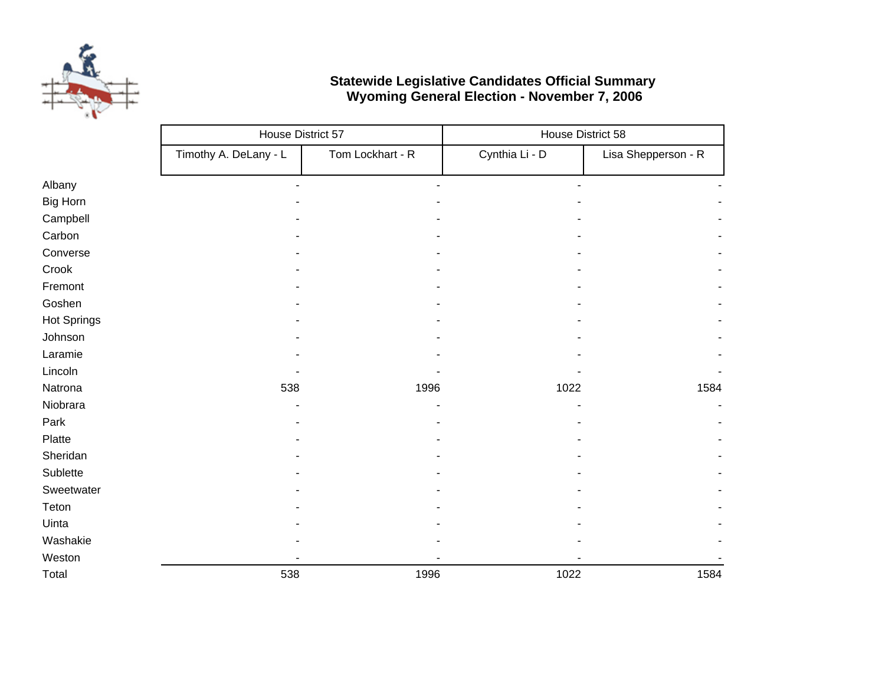

|             | House District 57     |                  | House District 58 |                     |
|-------------|-----------------------|------------------|-------------------|---------------------|
|             | Timothy A. DeLany - L | Tom Lockhart - R | Cynthia Li - D    | Lisa Shepperson - R |
| Albany      |                       |                  |                   |                     |
| Big Horn    |                       |                  |                   |                     |
| Campbell    |                       |                  |                   |                     |
| Carbon      |                       |                  |                   |                     |
| Converse    |                       |                  |                   |                     |
| Crook       |                       |                  |                   |                     |
| Fremont     |                       |                  |                   |                     |
| Goshen      |                       |                  |                   |                     |
| Hot Springs |                       |                  |                   |                     |
| Johnson     |                       |                  |                   |                     |
| Laramie     |                       |                  |                   |                     |
| Lincoln     |                       |                  |                   |                     |
| Natrona     | 538                   | 1996             | 1022              | 1584                |
| Niobrara    |                       |                  |                   |                     |
| Park        |                       |                  |                   |                     |
| Platte      |                       |                  |                   |                     |
| Sheridan    |                       |                  |                   |                     |
| Sublette    |                       |                  |                   |                     |
| Sweetwater  |                       |                  |                   |                     |
| Teton       |                       |                  |                   |                     |
| Uinta       |                       |                  |                   |                     |
| Washakie    |                       |                  |                   |                     |
| Weston      |                       |                  |                   |                     |
| Total       | 538                   | 1996             | 1022              | 1584                |